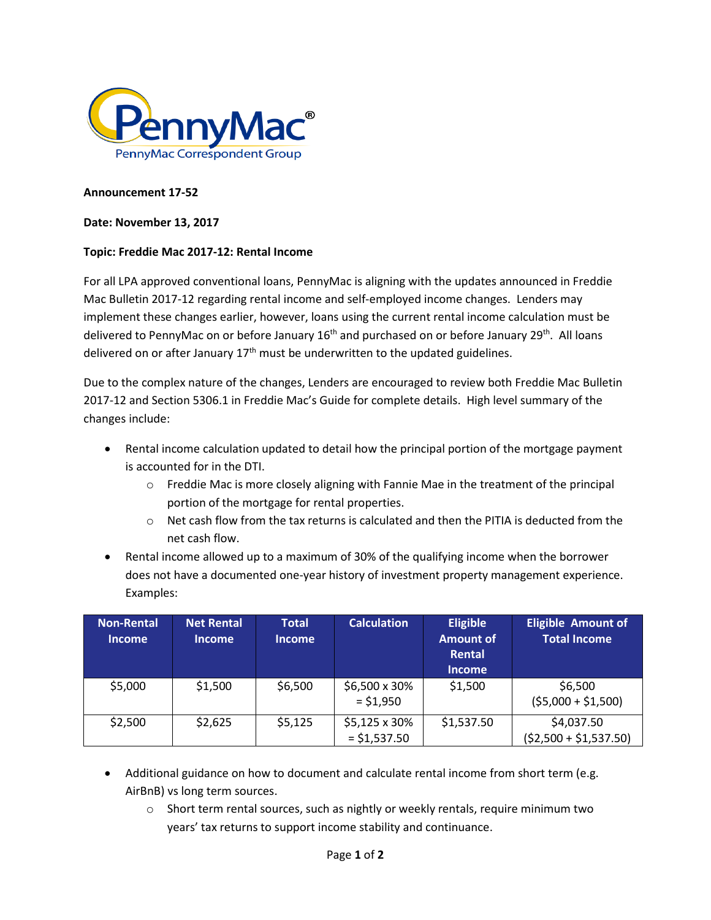

## **Announcement 17-52**

## **Date: November 13, 2017**

## **Topic: Freddie Mac 2017-12: Rental Income**

For all LPA approved conventional loans, PennyMac is aligning with the updates announced in Freddie Mac Bulletin 2017-12 regarding rental income and self-employed income changes. Lenders may implement these changes earlier, however, loans using the current rental income calculation must be delivered to PennyMac on or before January 16<sup>th</sup> and purchased on or before January 29<sup>th</sup>. All loans delivered on or after January  $17<sup>th</sup>$  must be underwritten to the updated guidelines.

Due to the complex nature of the changes, Lenders are encouraged to review both Freddie Mac Bulletin 2017-12 and Section 5306.1 in Freddie Mac's Guide for complete details. High level summary of the changes include:

- Rental income calculation updated to detail how the principal portion of the mortgage payment is accounted for in the DTI.
	- $\circ$  Freddie Mac is more closely aligning with Fannie Mae in the treatment of the principal portion of the mortgage for rental properties.
	- $\circ$  Net cash flow from the tax returns is calculated and then the PITIA is deducted from the net cash flow.
- Rental income allowed up to a maximum of 30% of the qualifying income when the borrower does not have a documented one-year history of investment property management experience. Examples:

| <b>Non-Rental</b><br><b>Income</b> | <b>Net Rental</b><br><b>Income</b> | Total<br><b>Income</b> | <b>Calculation</b>              | <b>Eligible</b><br><b>Amount of</b><br>Rental<br><b>Income</b> | <b>Eligible Amount of</b><br><b>Total Income</b> |
|------------------------------------|------------------------------------|------------------------|---------------------------------|----------------------------------------------------------------|--------------------------------------------------|
| \$5,000                            | \$1,500                            | \$6,500                | \$6,500 x 30%<br>$=$ \$1,950    | \$1,500                                                        | \$6,500<br>$(55,000 + 51,500)$                   |
| \$2,500                            | \$2,625                            | \$5,125                | \$5,125 x 30%<br>$=$ \$1,537.50 | \$1,537.50                                                     | \$4,037.50<br>$(52,500 + 51,537.50)$             |

- Additional guidance on how to document and calculate rental income from short term (e.g. AirBnB) vs long term sources.
	- $\circ$  Short term rental sources, such as nightly or weekly rentals, require minimum two years' tax returns to support income stability and continuance.